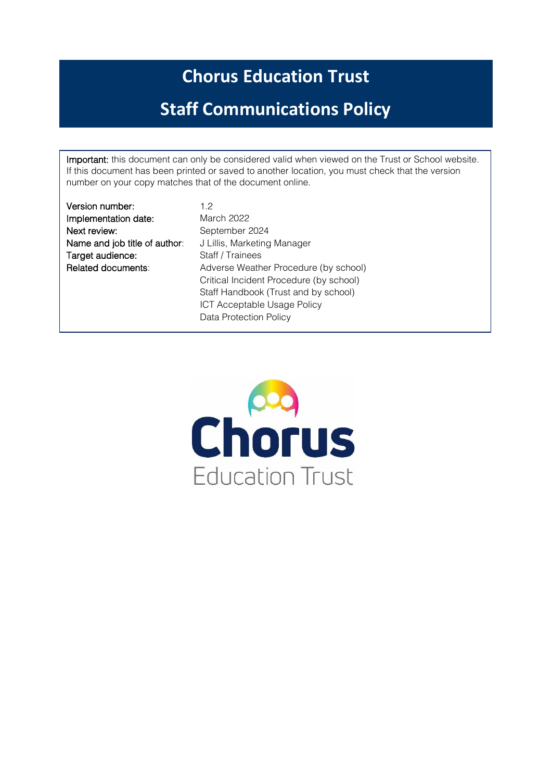# **Chorus Education Trust**

# **Staff Communications Policy**

Important: this document can only be considered valid when viewed on the Trust or School website. If this document has been printed or saved to another location, you must check that the version number on your copy matches that of the document online.

Version number: 1.2 Implementation date: March 2022 Next review: September 2024 Name and job title of author: J Lillis, Marketing Manager Target audience: Staff / Trainees

Related documents: Adverse Weather Procedure (by school) Critical Incident Procedure (by school) Staff Handbook (Trust and by school) ICT Acceptable Usage Policy Data Protection Policy

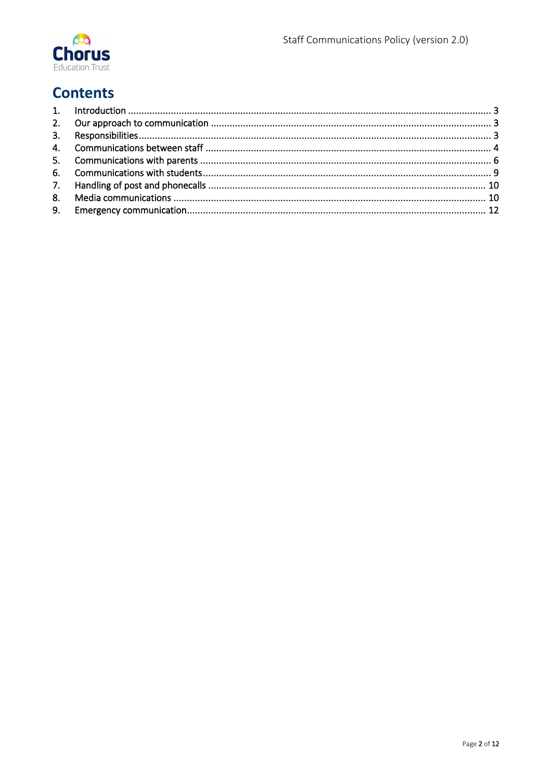

# **Contents**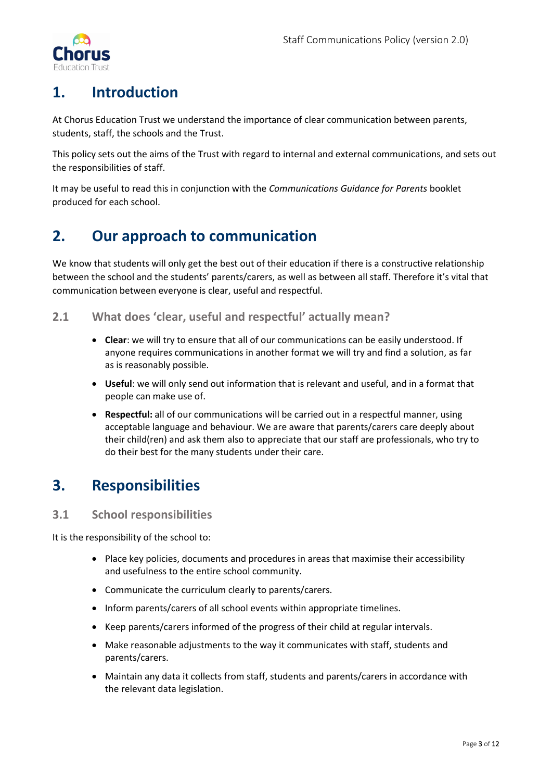

# <span id="page-2-0"></span>**1. Introduction**

At Chorus Education Trust we understand the importance of clear communication between parents, students, staff, the schools and the Trust.

This policy sets out the aims of the Trust with regard to internal and external communications, and sets out the responsibilities of staff.

It may be useful to read this in conjunction with the *Communications Guidance for Parents* booklet produced for each school.

## <span id="page-2-1"></span>**2. Our approach to communication**

We know that students will only get the best out of their education if there is a constructive relationship between the school and the students' parents/carers, as well as between all staff. Therefore it's vital that communication between everyone is clear, useful and respectful.

## **2.1 What does 'clear, useful and respectful' actually mean?**

- **Clear**: we will try to ensure that all of our communications can be easily understood. If anyone requires communications in another format we will try and find a solution, as far as is reasonably possible.
- **Useful**: we will only send out information that is relevant and useful, and in a format that people can make use of.
- **Respectful:** all of our communications will be carried out in a respectful manner, using acceptable language and behaviour. We are aware that parents/carers care deeply about their child(ren) and ask them also to appreciate that our staff are professionals, who try to do their best for the many students under their care.

## <span id="page-2-2"></span>**3. Responsibilities**

## **3.1 School responsibilities**

It is the responsibility of the school to:

- Place key policies, documents and procedures in areas that maximise their accessibility and usefulness to the entire school community.
- Communicate the curriculum clearly to parents/carers.
- Inform parents/carers of all school events within appropriate timelines.
- Keep parents/carers informed of the progress of their child at regular intervals.
- Make reasonable adjustments to the way it communicates with staff, students and parents/carers.
- Maintain any data it collects from staff, students and parents/carers in accordance with the relevant data legislation.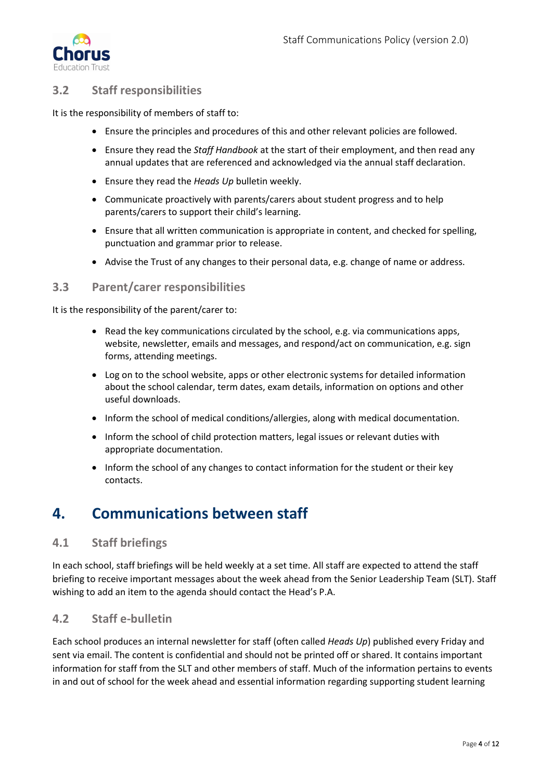

## **3.2 Staff responsibilities**

It is the responsibility of members of staff to:

- Ensure the principles and procedures of this and other relevant policies are followed.
- Ensure they read the *Staff Handbook* at the start of their employment, and then read any annual updates that are referenced and acknowledged via the annual staff declaration.
- Ensure they read the *Heads Up* bulletin weekly.
- Communicate proactively with parents/carers about student progress and to help parents/carers to support their child's learning.
- Ensure that all written communication is appropriate in content, and checked for spelling, punctuation and grammar prior to release.
- Advise the Trust of any changes to their personal data, e.g. change of name or address.

#### **3.3 Parent/carer responsibilities**

It is the responsibility of the parent/carer to:

- Read the key communications circulated by the school, e.g. via communications apps, website, newsletter, emails and messages, and respond/act on communication, e.g. sign forms, attending meetings.
- Log on to the school website, apps or other electronic systems for detailed information about the school calendar, term dates, exam details, information on options and other useful downloads.
- Inform the school of medical conditions/allergies, along with medical documentation.
- Inform the school of child protection matters, legal issues or relevant duties with appropriate documentation.
- Inform the school of any changes to contact information for the student or their key contacts.

## <span id="page-3-0"></span>**4. Communications between staff**

## **4.1 Staff briefings**

In each school, staff briefings will be held weekly at a set time. All staff are expected to attend the staff briefing to receive important messages about the week ahead from the Senior Leadership Team (SLT). Staff wishing to add an item to the agenda should contact the Head's P.A.

## **4.2 Staff e-bulletin**

Each school produces an internal newsletter for staff (often called *Heads Up*) published every Friday and sent via email. The content is confidential and should not be printed off or shared. It contains important information for staff from the SLT and other members of staff. Much of the information pertains to events in and out of school for the week ahead and essential information regarding supporting student learning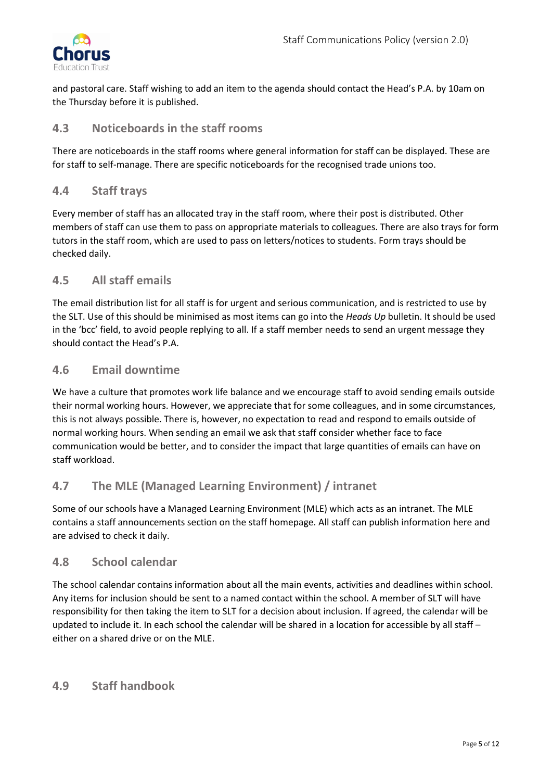

and pastoral care. Staff wishing to add an item to the agenda should contact the Head's P.A. by 10am on the Thursday before it is published.

## **4.3 Noticeboards in the staff rooms**

There are noticeboards in the staff rooms where general information for staff can be displayed. These are for staff to self-manage. There are specific noticeboards for the recognised trade unions too.

## **4.4 Staff trays**

Every member of staff has an allocated tray in the staff room, where their post is distributed. Other members of staff can use them to pass on appropriate materials to colleagues. There are also trays for form tutors in the staff room, which are used to pass on letters/notices to students. Form trays should be checked daily.

## **4.5 All staff emails**

The email distribution list for all staff is for urgent and serious communication, and is restricted to use by the SLT. Use of this should be minimised as most items can go into the *Heads Up* bulletin. It should be used in the 'bcc' field, to avoid people replying to all. If a staff member needs to send an urgent message they should contact the Head's P.A.

## **4.6 Email downtime**

We have a culture that promotes work life balance and we encourage staff to avoid sending emails outside their normal working hours. However, we appreciate that for some colleagues, and in some circumstances, this is not always possible. There is, however, no expectation to read and respond to emails outside of normal working hours. When sending an email we ask that staff consider whether face to face communication would be better, and to consider the impact that large quantities of emails can have on staff workload.

## **4.7 The MLE (Managed Learning Environment) / intranet**

Some of our schools have a Managed Learning Environment (MLE) which acts as an intranet. The MLE contains a staff announcements section on the staff homepage. All staff can publish information here and are advised to check it daily.

## **4.8 School calendar**

The school calendar contains information about all the main events, activities and deadlines within school. Any items for inclusion should be sent to a named contact within the school. A member of SLT will have responsibility for then taking the item to SLT for a decision about inclusion. If agreed, the calendar will be updated to include it. In each school the calendar will be shared in a location for accessible by all staff – either on a shared drive or on the MLE.

## **4.9 Staff handbook**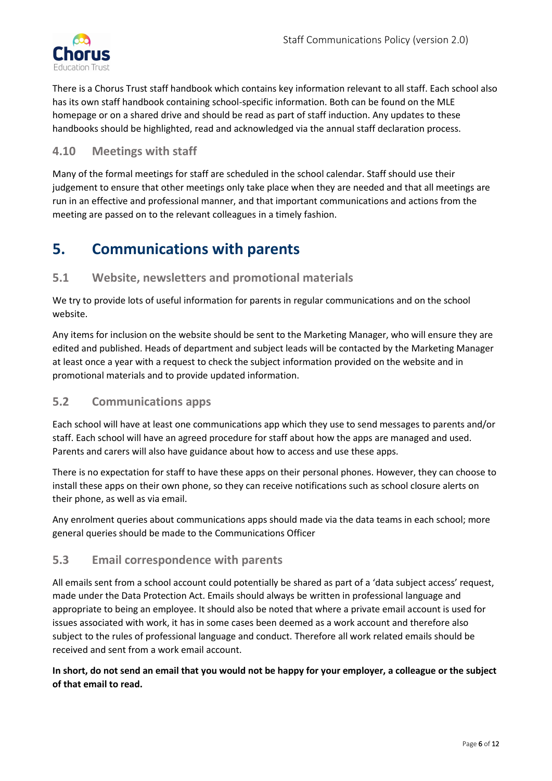

There is a Chorus Trust staff handbook which contains key information relevant to all staff. Each school also has its own staff handbook containing school-specific information. Both can be found on the MLE homepage or on a shared drive and should be read as part of staff induction. Any updates to these handbooks should be highlighted, read and acknowledged via the annual staff declaration process.

## **4.10 Meetings with staff**

Many of the formal meetings for staff are scheduled in the school calendar. Staff should use their judgement to ensure that other meetings only take place when they are needed and that all meetings are run in an effective and professional manner, and that important communications and actions from the meeting are passed on to the relevant colleagues in a timely fashion.

## <span id="page-5-0"></span>**5. Communications with parents**

## **5.1 Website, newsletters and promotional materials**

We try to provide lots of useful information for parents in regular communications and on the school website.

Any items for inclusion on the website should be sent to the Marketing Manager, who will ensure they are edited and published. Heads of department and subject leads will be contacted by the Marketing Manager at least once a year with a request to check the subject information provided on the website and in promotional materials and to provide updated information.

## **5.2 Communications apps**

Each school will have at least one communications app which they use to send messages to parents and/or staff. Each school will have an agreed procedure for staff about how the apps are managed and used. Parents and carers will also have guidance about how to access and use these apps.

There is no expectation for staff to have these apps on their personal phones. However, they can choose to install these apps on their own phone, so they can receive notifications such as school closure alerts on their phone, as well as via email.

Any enrolment queries about communications apps should made via the data teams in each school; more general queries should be made to the Communications Officer

## **5.3 Email correspondence with parents**

All emails sent from a school account could potentially be shared as part of a 'data subject access' request, made under the Data Protection Act. Emails should always be written in professional language and appropriate to being an employee. It should also be noted that where a private email account is used for issues associated with work, it has in some cases been deemed as a work account and therefore also subject to the rules of professional language and conduct. Therefore all work related emails should be received and sent from a work email account.

In short, do not send an email that you would not be happy for your employer, a colleague or the subject **of that email to read.**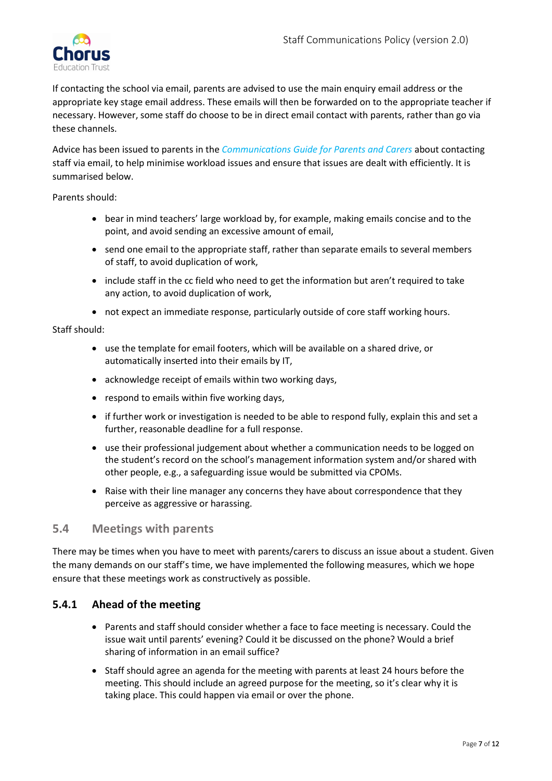

If contacting the school via email, parents are advised to use the main enquiry email address or the appropriate key stage email address. These emails will then be forwarded on to the appropriate teacher if necessary. However, some staff do choose to be in direct email contact with parents, rather than go via these channels.

Advice has been issued to parents in the *Communications Guide for Parents and Carers* about contacting staff via email, to help minimise workload issues and ensure that issues are dealt with efficiently. It is summarised below.

Parents should:

- bear in mind teachers' large workload by, for example, making emails concise and to the point, and avoid sending an excessive amount of email,
- send one email to the appropriate staff, rather than separate emails to several members of staff, to avoid duplication of work,
- include staff in the cc field who need to get the information but aren't required to take any action, to avoid duplication of work,
- not expect an immediate response, particularly outside of core staff working hours.

#### Staff should:

- use the template for email footers, which will be available on a shared drive, or automatically inserted into their emails by IT,
- acknowledge receipt of emails within two working days,
- respond to emails within five working days,
- if further work or investigation is needed to be able to respond fully, explain this and set a further, reasonable deadline for a full response.
- use their professional judgement about whether a communication needs to be logged on the student's record on the school's management information system and/or shared with other people, e.g., a safeguarding issue would be submitted via CPOMs.
- Raise with their line manager any concerns they have about correspondence that they perceive as aggressive or harassing.

## **5.4 Meetings with parents**

There may be times when you have to meet with parents/carers to discuss an issue about a student. Given the many demands on our staff's time, we have implemented the following measures, which we hope ensure that these meetings work as constructively as possible.

#### **5.4.1 Ahead of the meeting**

- Parents and staff should consider whether a face to face meeting is necessary. Could the issue wait until parents' evening? Could it be discussed on the phone? Would a brief sharing of information in an email suffice?
- Staff should agree an agenda for the meeting with parents at least 24 hours before the meeting. This should include an agreed purpose for the meeting, so it's clear why it is taking place. This could happen via email or over the phone.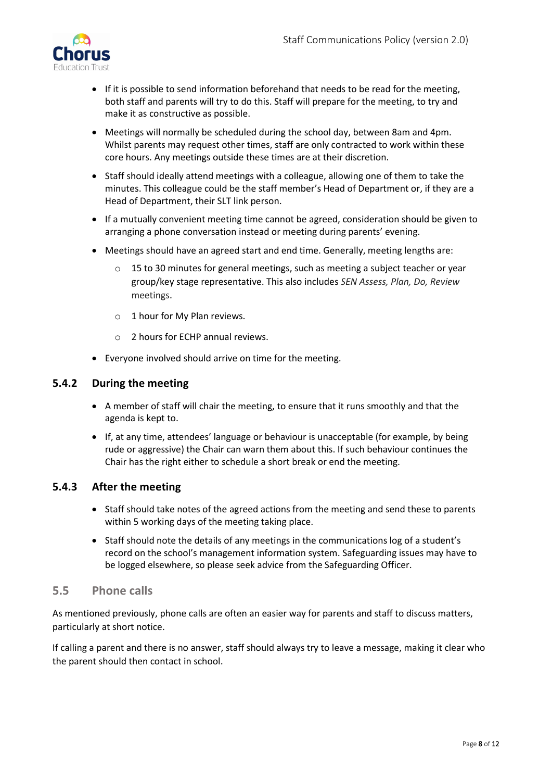

- If it is possible to send information beforehand that needs to be read for the meeting, both staff and parents will try to do this. Staff will prepare for the meeting, to try and make it as constructive as possible.
- Meetings will normally be scheduled during the school day, between 8am and 4pm. Whilst parents may request other times, staff are only contracted to work within these core hours. Any meetings outside these times are at their discretion.
- Staff should ideally attend meetings with a colleague, allowing one of them to take the minutes. This colleague could be the staff member's Head of Department or, if they are a Head of Department, their SLT link person.
- If a mutually convenient meeting time cannot be agreed, consideration should be given to arranging a phone conversation instead or meeting during parents' evening.
- Meetings should have an agreed start and end time. Generally, meeting lengths are:
	- $\circ$  15 to 30 minutes for general meetings, such as meeting a subject teacher or year group/key stage representative. This also includes *SEN Assess, Plan, Do, Review* meetings.
	- o 1 hour for My Plan reviews.
	- o 2 hours for ECHP annual reviews.
- Everyone involved should arrive on time for the meeting.

#### **5.4.2 During the meeting**

- A member of staff will chair the meeting, to ensure that it runs smoothly and that the agenda is kept to.
- If, at any time, attendees' language or behaviour is unacceptable (for example, by being rude or aggressive) the Chair can warn them about this. If such behaviour continues the Chair has the right either to schedule a short break or end the meeting.

#### **5.4.3 After the meeting**

- Staff should take notes of the agreed actions from the meeting and send these to parents within 5 working days of the meeting taking place.
- Staff should note the details of any meetings in the communications log of a student's record on the school's management information system. Safeguarding issues may have to be logged elsewhere, so please seek advice from the Safeguarding Officer.

## **5.5 Phone calls**

As mentioned previously, phone calls are often an easier way for parents and staff to discuss matters, particularly at short notice.

If calling a parent and there is no answer, staff should always try to leave a message, making it clear who the parent should then contact in school.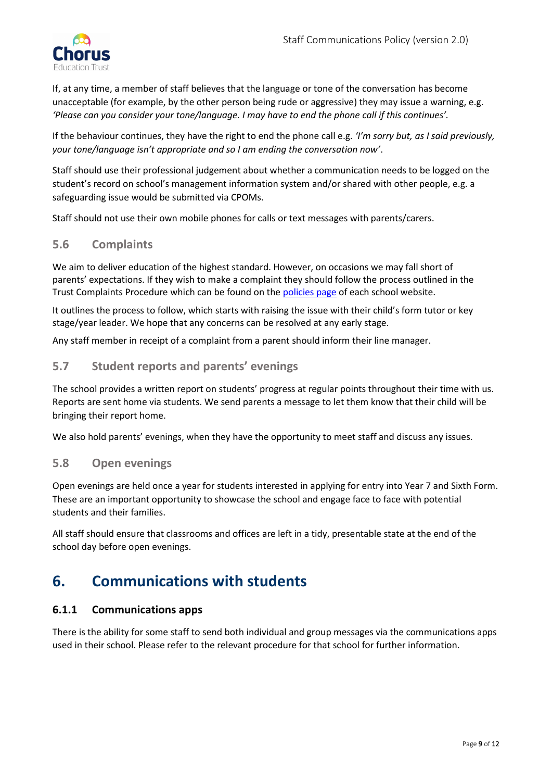

If, at any time, a member of staff believes that the language or tone of the conversation has become unacceptable (for example, by the other person being rude or aggressive) they may issue a warning, e.g. *'Please can you consider your tone/language. I may have to end the phone call if this continues'.*

If the behaviour continues, they have the right to end the phone call e.g. *'I'm sorry but, as I said previously, your tone/language isn't appropriate and so I am ending the conversation now'*.

Staff should use their professional judgement about whether a communication needs to be logged on the student's record on school's management information system and/or shared with other people, e.g. a safeguarding issue would be submitted via CPOMs.

Staff should not use their own mobile phones for calls or text messages with parents/carers.

## **5.6 Complaints**

We aim to deliver education of the highest standard. However, on occasions we may fall short of parents' expectations. If they wish to make a complaint they should follow the process outlined in the Trust Complaints Procedure which can be found on the [policies page](https://www.chorustrust.org/policies) of each school website.

It outlines the process to follow, which starts with raising the issue with their child's form tutor or key stage/year leader. We hope that any concerns can be resolved at any early stage.

Any staff member in receipt of a complaint from a parent should inform their line manager.

## **5.7 Student reports and parents' evenings**

The school provides a written report on students' progress at regular points throughout their time with us. Reports are sent home via students. We send parents a message to let them know that their child will be bringing their report home.

We also hold parents' evenings, when they have the opportunity to meet staff and discuss any issues.

## **5.8 Open evenings**

Open evenings are held once a year for students interested in applying for entry into Year 7 and Sixth Form. These are an important opportunity to showcase the school and engage face to face with potential students and their families.

All staff should ensure that classrooms and offices are left in a tidy, presentable state at the end of the school day before open evenings.

## <span id="page-8-0"></span>**6. Communications with students**

#### **6.1.1 Communications apps**

There is the ability for some staff to send both individual and group messages via the communications apps used in their school. Please refer to the relevant procedure for that school for further information.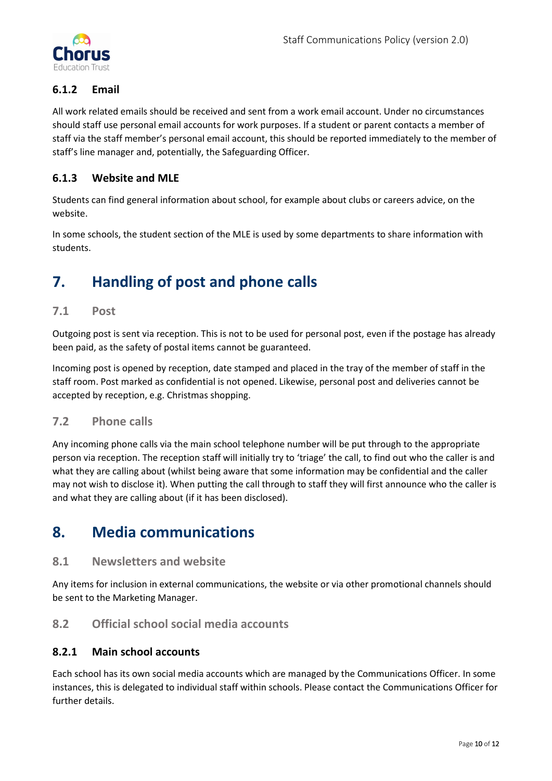

## **6.1.2 Email**

All work related emails should be received and sent from a work email account. Under no circumstances should staff use personal email accounts for work purposes. If a student or parent contacts a member of staff via the staff member's personal email account, this should be reported immediately to the member of staff's line manager and, potentially, the Safeguarding Officer.

## **6.1.3 Website and MLE**

Students can find general information about school, for example about clubs or careers advice, on the website.

In some schools, the student section of the MLE is used by some departments to share information with students.

## <span id="page-9-0"></span>**7. Handling of post and phone calls**

## **7.1 Post**

Outgoing post is sent via reception. This is not to be used for personal post, even if the postage has already been paid, as the safety of postal items cannot be guaranteed.

Incoming post is opened by reception, date stamped and placed in the tray of the member of staff in the staff room. Post marked as confidential is not opened. Likewise, personal post and deliveries cannot be accepted by reception, e.g. Christmas shopping.

#### **7.2 Phone calls**

Any incoming phone calls via the main school telephone number will be put through to the appropriate person via reception. The reception staff will initially try to 'triage' the call, to find out who the caller is and what they are calling about (whilst being aware that some information may be confidential and the caller may not wish to disclose it). When putting the call through to staff they will first announce who the caller is and what they are calling about (if it has been disclosed).

## <span id="page-9-1"></span>**8. Media communications**

## **8.1 Newsletters and website**

Any items for inclusion in external communications, the website or via other promotional channels should be sent to the Marketing Manager.

## **8.2 Official school social media accounts**

#### **8.2.1 Main school accounts**

Each school has its own social media accounts which are managed by the Communications Officer. In some instances, this is delegated to individual staff within schools. Please contact the Communications Officer for further details.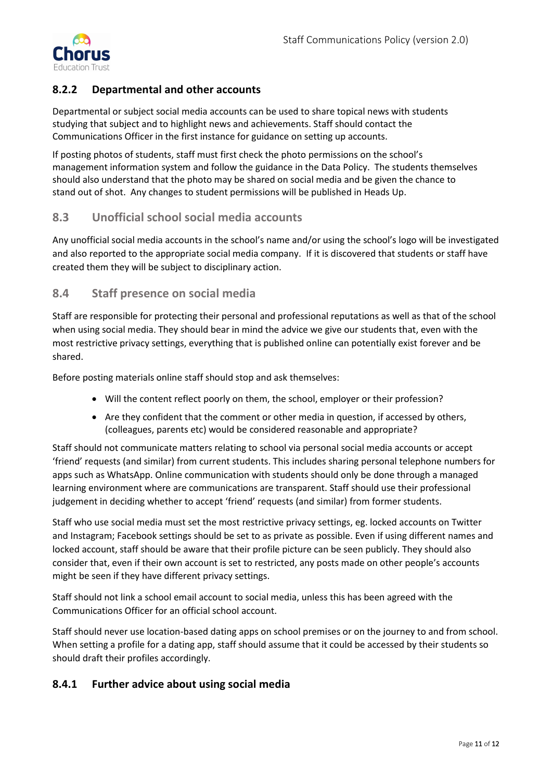

## **8.2.2 Departmental and other accounts**

Departmental or subject social media accounts can be used to share topical news with students studying that subject and to highlight news and achievements. Staff should contact the Communications Officer in the first instance for guidance on setting up accounts.

If posting photos of students, staff must first check the photo permissions on the school's management information system and follow the guidance in the Data Policy. The students themselves should also understand that the photo may be shared on social media and be given the chance to stand out of shot. Any changes to student permissions will be published in Heads Up.

## **8.3 Unofficial school social media accounts**

Any unofficial social media accounts in the school's name and/or using the school's logo will be investigated and also reported to the appropriate social media company. If it is discovered that students or staff have created them they will be subject to disciplinary action.

## **8.4 Staff presence on social media**

Staff are responsible for protecting their personal and professional reputations as well as that of the school when using social media. They should bear in mind the advice we give our students that, even with the most restrictive privacy settings, everything that is published online can potentially exist forever and be shared.

Before posting materials online staff should stop and ask themselves:

- Will the content reflect poorly on them, the school, employer or their profession?
- Are they confident that the comment or other media in question, if accessed by others, (colleagues, parents etc) would be considered reasonable and appropriate?

Staff should not communicate matters relating to school via personal social media accounts or accept 'friend' requests (and similar) from current students. This includes sharing personal telephone numbers for apps such as WhatsApp. Online communication with students should only be done through a managed learning environment where are communications are transparent. Staff should use their professional judgement in deciding whether to accept 'friend' requests (and similar) from former students.

Staff who use social media must set the most restrictive privacy settings, eg. locked accounts on Twitter and Instagram; Facebook settings should be set to as private as possible. Even if using different names and locked account, staff should be aware that their profile picture can be seen publicly. They should also consider that, even if their own account is set to restricted, any posts made on other people's accounts might be seen if they have different privacy settings.

Staff should not link a school email account to social media, unless this has been agreed with the Communications Officer for an official school account.

Staff should never use location-based dating apps on school premises or on the journey to and from school. When setting a profile for a dating app, staff should assume that it could be accessed by their students so should draft their profiles accordingly.

## **8.4.1 Further advice about using social media**